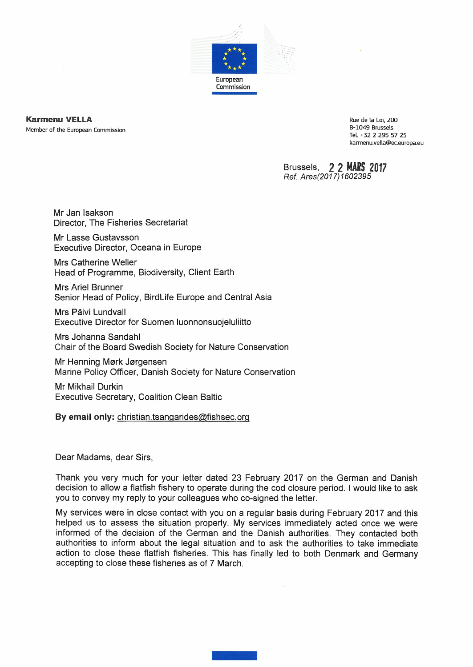

**Karmenu WELLÄ** Member of the European Commission

Rue de la Loi, 200 B-1049 Brussels Tel. +32 2 295 57 25 [karmenu.vella@ec.europa.eu](mailto:karmenu.vella@ec.europa.eu)

Brussels, **2 2 MÂRS 2017** *Ref Ares(2017)1602395*

Mr Jan Isakson Director, The Fisheries Secretariat

Mr Lasse Gustavsson Executive Director, Oceana in Europe

Mrs Catherine Weller Head of Programme, Biodiversity, Client Earth

Mrs Ariel Brunner Senior Head of Policy, BirdLife Europe and Central Asia

Mrs Päivi Lundvall Executive Director for Suomen luonnonsuojeluliitto

Mrs Johanna Sandahl Chair of the Board Swedish Society for Nature Conservation

Mr Henning Mørk Jørgensen Marine Policy Officer, Danish Society for Nature Conservation

Mr Mikhail Durkin Executive Secretary, Coalition Clean Baltic

**By email only:** [christian.tsanqarides@fishseo.org](mailto:christian.tsanqarides@fishseo.org)

Dear Madams, dear Sirs,

Thank you very much for your letter dated 23 February 2017 on the German and Danish decision to allow a flatfish fishery to operate during the cod closure period. <sup>I</sup> would like to ask you to convey my reply to your colleagues who co-signed the letter.

My services were in close contact with you on a regular basis during February 2017 and this helped us to assess the situation properly. My services immediately acted once we were informed of the decision of the German and the Danish authorities. They contacted both authorities to inform about the legal situation and to ask the authorities to take immediate action to close these flatfish fisheries. This has finally led to both Denmark and Germany accepting to close these fisheries as of 7 March.